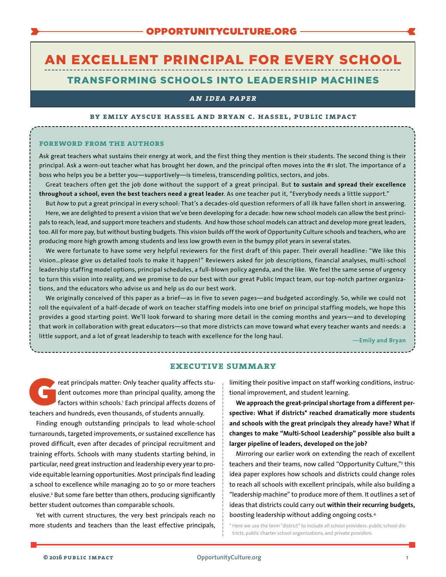# AN EXCELLENT PRINCIPAL FOR EVERY SCHOOL TRANSFORMING SCHOOLS INTO LEADERSHIP MACHINES

# *an idea paper*

#### **by emily ayscue hassel and bryan c. hassel, public impact**

#### **foreword from the authors**

Ask great teachers what sustains their energy at work, and the first thing they mention is their students. The second thing is their principal. Ask a worn-out teacher what has brought her down, and the principal often moves into the #1 slot. The importance of a boss who helps you be a better you—supportively—is timeless, transcending politics, sectors, and jobs.

Great teachers often get the job done without the support of a great principal. But **to sustain and spread their excellence throughout a school, even the best teachers need a great leader**. As one teacher put it, "Everybody needs a little support."

But *how* to put a great principal in every school: That's a decades-old question reformers of all ilk have fallen short in answering. Here, we are delighted to present a vision that we've been developing for a decade: how new school models can allow the best principals to reach, lead, and support more teachers and students. And how those school models can attract and develop more great leaders, too. All for more pay, but without busting budgets. This vision builds off the work of Opportunity Culture schools and teachers, who are producing more high growth among students and less low growth even in the bumpy pilot years in several states.

We were fortunate to have some very helpful reviewers for the first draft of this paper. Their overall headline: "We like this vision…please give us detailed tools to make it happen!" Reviewers asked for job descriptions, financial analyses, multi-school leadership staffing model options, principal schedules, a full-blown policy agenda, and the like. We feel the same sense of urgency to turn this vision into reality, and we promise to do our best with our great Public Impact team, our top-notch partner organizations, and the educators who advise us and help us do our best work.

We originally conceived of this paper as a brief—as in five to seven pages—and budgeted accordingly. So, while we could not roll the equivalent of a half-decade of work on teacher staffing models into one brief on principal staffing models, we hope this provides a good starting point. We'll look forward to sharing more detail in the coming months and years—and to developing that work in collaboration with great educators—so that more districts can move toward what every teacher wants and needs: a little support, and a lot of great leadership to teach with excellence for the long haul.

—**Emily and Bryan**

#### **executive summary**

reat principals matter: Only teacher quality affects student outcomes more than principal quality, among the factors within schools.<sup>1</sup> Each principal affects dozens of teachers and hundreds, even thousands, of students annually.

Finding enough outstanding principals to lead whole-school turnarounds, targeted improvements, or sustained excellence has proved difficult, even after decades of principal recruitment and training efforts. Schools with many students starting behind, in particular, need great instruction and leadership every year to provide equitable learning opportunities. Most principals find leading a school to excellence while managing 20 to 50 or more teachers elusive.2 But some fare better than others, producing significantly better student outcomes than comparable schools.

Yet with current structures, the very best principals reach no more students and teachers than the least effective principals, limiting their positive impact on staff working conditions, instructional improvement, and student learning.

**We approach the great-principal shortage from a different perspective: What if districts\* reached dramatically more students and schools with the great principals they already have? What if changes to make "Multi-School Leadership" possible also built a larger pipeline of leaders, developed on the job?**

Mirroring our earlier work on extending the reach of excellent teachers and their teams, now called "Opportunity Culture,"3 this idea paper explores how schools and districts could change roles to reach all schools with excellent principals, while also building a "leadership machine" to produce more of them. It outlines a set of ideas that districts could carry out **within their recurring budgets,** boosting leadership without adding ongoing costs.4

\* Here we use the term "district" to include all school providers: public school districts, public charter school organizations, and private providers.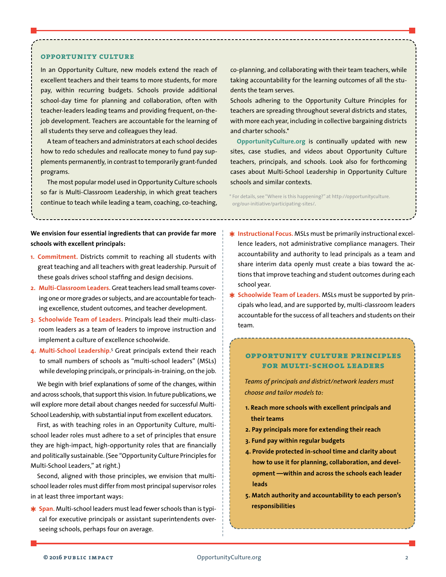## **opportunity culture**

In an Opportunity Culture, new models extend the reach of excellent teachers and their teams to more students, for more pay, within recurring budgets. Schools provide additional school-day time for planning and collaboration, often with teacher-leaders leading teams and providing frequent, on-thejob development. Teachers are accountable for the learning of all students they serve and colleagues they lead.

A team of teachers and administrators at each school decides how to redo schedules and reallocate money to fund pay supplements permanently, in contrast to temporarily grant-funded programs.

The most popular model used in Opportunity Culture schools so far is Multi-Classroom Leadership, in which great teachers continue to teach while leading a team, coaching, co-teaching, co-planning, and collaborating with their team teachers, while taking accountability for the learning outcomes of all the students the team serves.

Schools adhering to the Opportunity Culture Principles for teachers are spreading throughout several districts and states, with more each year, including in collective bargaining districts and charter schools.\*

**[OpportunityCulture.org](http://opportunityculture.org)** is continually updated with new sites, case studies, and videos about Opportunity Culture teachers, principals, and schools. Look also for forthcoming cases about Multi-School Leadership in Opportunity Culture schools and similar contexts.

\* For details, see "Where is this happening?" at [http://opportunityculture.](http://opportunityculture.org/our-initiative/participating-sites/) [org/our-initiative/participating-sites/](http://opportunityculture.org/our-initiative/participating-sites/).

**We envision four essential ingredients that can provide far more schools with excellent principals:**

- **1. Commitment.** Districts commit to reaching all students with great teaching and all teachers with great leadership. Pursuit of these goals drives school staffing and design decisions.
- 2. Multi-Classroom Leaders. Great teachers lead small teams covering one or more grades or subjects, and are accountable for teaching excellence, student outcomes, and teacher development.
- **3. Schoolwide Team of Leaders.** Principals lead their multi-classroom leaders as a team of leaders to improve instruction and implement a culture of excellence schoolwide.
- **4. Multi-School Leadership.**<sup>5</sup> Great principals extend their reach to small numbers of schools as "multi-school leaders" (MSLs) while developing principals, or principals-in-training, on the job.

We begin with brief explanations of some of the changes, within and across schools, that support this vision. In future publications, we will explore more detail about changes needed for successful Multi-School Leadership, with substantial input from excellent educators.

First, as with teaching roles in an Opportunity Culture, multischool leader roles must adhere to a set of principles that ensure they are high-impact, high-opportunity roles that are financially and politically sustainable. (See "Opportunity Culture Principles for Multi-School Leaders," at right.)

Second, aligned with those principles, we envision that multischool leader roles must differ from most principal supervisor roles in at least three important ways:

✱ **Span.** Multi-school leaders mustlead fewer schools than is typical for executive principals or assistant superintendents overseeing schools, perhaps four on average.

- ✱ **Instructional Focus.** MSLs must be primarily instructional excellence leaders, not administrative compliance managers. Their accountability and authority to lead principals as a team and share interim data openly must create a bias toward the actions that improve teaching and student outcomes during each school year.
- ✱ **Schoolwide Team of Leaders.** MSLs must be supported by principals who lead, and are supported by, multi-classroom leaders accountable for the success of all teachers and students on their team.

# **opportunity culture principles for multi-school leaders**

*Teams of principals and district/network leaders must choose and tailor models to:*

- **1. Reach more schools with excellent principals and their teams**
- **2. Pay principals more for extending their reach**
- **3. Fund pay within regular budgets**
- **4. Provide protected in-school time and clarity about how to use it for planning, collaboration, and development —within and across the schools each leader leads**
- **5. Match authority and accountability to each person's responsibilities**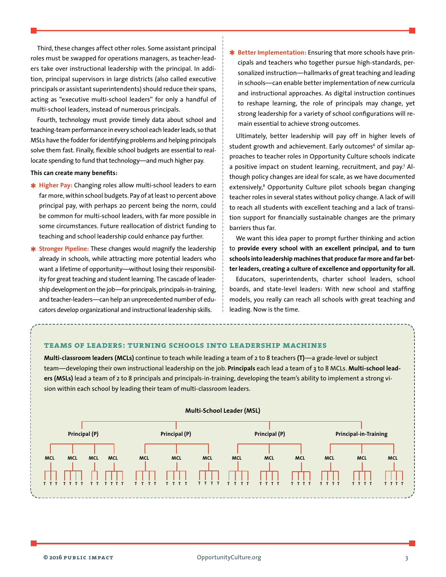Third, these changes affect other roles. Some assistant principal roles must be swapped for operations managers, as teacher-leaders take over instructional leadership with the principal. In addition, principal supervisors in large districts (also called executive principals or assistant superintendents) should reduce their spans, acting as "executive multi-school leaders" for only a handful of multi-school leaders, instead of numerous principals.

Fourth, technology must provide timely data about school and teaching-team performance in every school each leader leads, so that MSLs have the fodder for identifying problems and helping principals solve them fast. Finally, flexible school budgets are essential to reallocate spending to fund that technology—and much higher pay.

## **This can create many benefits:**

- ✱ **Higher Pay:** Changing roles allow multi-school leaders to earn far more, within school budgets. Pay of at least 10 percent above principal pay, with perhaps 20 percent being the norm, could be common for multi-school leaders, with far more possible in some circumstances. Future reallocation of district funding to teaching and school leadership could enhance pay further.
- ✱ **Stronger Pipeline:** These changes would magnify the leadership already in schools, while attracting more potential leaders who want a lifetime of opportunity—without losing their responsibility for great teaching and student learning. The cascade of leadership development on the job—for principals, principals-in-training, and teacher-leaders—can help an unprecedented number of educators develop organizational and instructional leadership skills.

✱ **Better Implementation:** Ensuring that more schools have principals and teachers who together pursue high-standards, personalized instruction—hallmarks of great teaching and leading in schools—can enable better implementation of new curricula and instructional approaches. As digital instruction continues to reshape learning, the role of principals may change, yet strong leadership for a variety of school configurations will remain essential to achieve strong outcomes.

Ultimately, better leadership will pay off in higher levels of student growth and achievement. Early outcomes<sup>6</sup> of similar approaches to teacher roles in Opportunity Culture schools indicate a positive impact on student learning, recruitment, and pay.<sup>7</sup> Although policy changes are ideal for scale, as we have documented extensively,<sup>8</sup> Opportunity Culture pilot schools began changing teacher roles in several states without policy change. A lack of will to reach all students with excellent teaching and a lack of transition support for financially sustainable changes are the primary barriers thus far.

We want this idea paper to prompt further thinking and action to **provide every school with an excellent principal, and to turn schools into leadership machines that produce far more and far better leaders, creating a culture of excellence and opportunity for all.**

Educators, superintendents, charter school leaders, school boards, and state-level leaders: With new school and staffing models, you really can reach all schools with great teaching and leading. Now is the time.

# **teams of leaders: turning schools into leadership machines**

**Multi-classroom leaders (MCLs)** continue to teach while leading a team of 2 to 8 teachers **(T)**—a grade-level or subject team—developing their own instructional leadership on the job. **Principals** each lead a team of 3 to 8 MCLs. **Multi-school leaders (MSLs)** lead a team of 2 to 8 principals and principals-in-training, developing the team's ability to implement a strong vision within each school by leading their team of multi-classroom leaders.

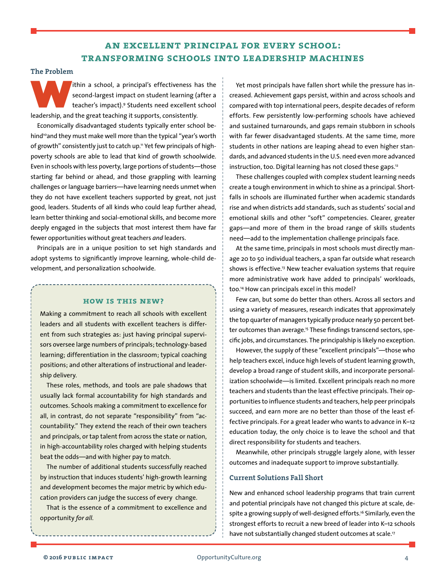# **an excellent principal for every school: transforming schools into leadership machines**

# **The Problem**

Ithin a school, a principal's effectiveness has the second-largest impact on student learning (after a teacher's impact).9 Students need excellent school leadership, and the great teaching it supports, consistently.

Economically disadvantaged students typically enter school behind<sup>10</sup> and they must make well more than the typical "year's worth of growth" consistently just to catch up." Yet few principals of highpoverty schools are able to lead that kind of growth schoolwide. Even in schools with less poverty, large portions of students—those starting far behind or ahead, and those grappling with learning challenges or language barriers—have learning needs unmet when they do not have excellent teachers supported by great, not just good, leaders. Students of all kinds who could leap further ahead, learn better thinking and social-emotional skills, and become more deeply engaged in the subjects that most interest them have far fewer opportunities without great teachers *and* leaders.

Principals are in a unique position to set high standards and adopt systems to significantly improve learning, whole-child development, and personalization schoolwide.

# **how is this new?**

Making a commitment to reach all schools with excellent leaders and all students with excellent teachers is different from such strategies as: just having principal supervisors oversee large numbers of principals; technology-based learning; differentiation in the classroom; typical coaching positions; and other alterations of instructional and leadership delivery.

These roles, methods, and tools are pale shadows that usually lack formal accountability for high standards and outcomes. Schools making a commitment to excellence for all, in contrast, do not separate "responsibility" from "accountability." They extend the reach of their own teachers and principals, or tap talent from across the state or nation, in high-accountability roles charged with helping students beat the odds—and with higher pay to match.

The number of additional students successfully reached by instruction that induces students' high-growth learning and development becomes the major metric by which education providers can judge the success of every change.

That is the essence of a commitment to excellence and opportunity *for all.*

Yet most principals have fallen short while the pressure has increased. Achievement gaps persist, within and across schools and compared with top international peers, despite decades of reform efforts. Few persistently low-performing schools have achieved and sustained turnarounds, and gaps remain stubborn in schools with far fewer disadvantaged students. At the same time, more students in other nations are leaping ahead to even higher standards, and advanced students in the U.S. need even more advanced instruction, too. Digital learning has not closed these gaps.<sup>12</sup>

These challenges coupled with complex student learning needs create a tough environment in which to shine as a principal. Shortfalls in schools are illuminated further when academic standards rise and when districts add standards, such as students' social and emotional skills and other "soft" competencies. Clearer, greater gaps—and more of them in the broad range of skills students need—add to the implementation challenge principals face.

At the same time, principals in most schools must directly manage 20 to 50 individual teachers, a span far outside what research shows is effective.<sup>13</sup> New teacher evaluation systems that require more administrative work have added to principals' workloads, too.14 How can principals excel in this model?

Few can, but some do better than others. Across all sectors and using a variety of measures, research indicates that approximately the top quarter of managers typically produce nearly 50 percent better outcomes than average.<sup>15</sup> These findings transcend sectors, specific jobs, and circumstances. The principalship is likely no exception.

However, the supply of these "excellent principals"—those who help teachers excel, induce high levels of student learning growth, develop a broad range of student skills, and incorporate personalization schoolwide—is limited. Excellent principals reach no more teachers and students than the least effective principals. Their opportunities to influence students and teachers, help peer principals succeed, and earn more are no better than those of the least effective principals. For a great leader who wants to advance in K–12 education today, the only choice is to leave the school and that direct responsibility for students and teachers.

Meanwhile, other principals struggle largely alone, with lesser outcomes and inadequate support to improve substantially.

# **Current Solutions Fall Short**

New and enhanced school leadership programs that train current and potential principals have not changed this picture at scale, despite a growing supply of well-designed efforts.<sup>16</sup> Similarly, even the strongest efforts to recruit a new breed of leader into K–12 schools have not substantially changed student outcomes at scale.<sup>17</sup>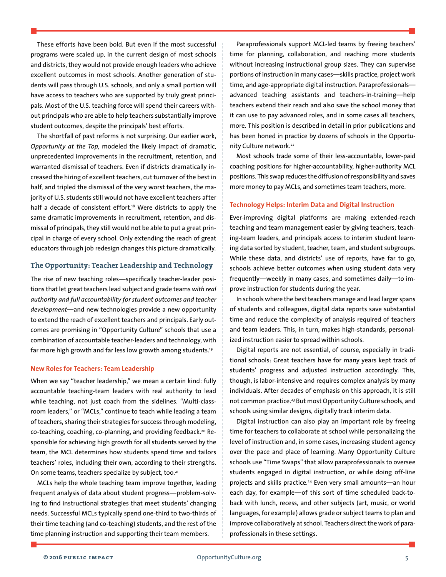These efforts have been bold. But even if the most successful programs were scaled up, in the current design of most schools and districts, they would not provide enough leaders who achieve excellent outcomes in most schools. Another generation of students will pass through U.S. schools, and only a small portion will have access to teachers who are supported by truly great principals. Most of the U.S. teaching force will spend their careers without principals who are able to help teachers substantially improve student outcomes, despite the principals' best efforts.

The shortfall of past reforms is not surprising. Our earlier work, *Opportunity at the Top*, modeled the likely impact of dramatic, unprecedented improvements in the recruitment, retention, and warranted dismissal of teachers. Even if districts dramatically increased the hiring of excellent teachers, cut turnover of the best in half, and tripled the dismissal of the very worst teachers, the majority of U.S. students still would not have excellent teachers after half a decade of consistent effort.<sup>18</sup> Were districts to apply the same dramatic improvements in recruitment, retention, and dismissal of principals, they still would not be able to put a great principal in charge of every school. Only extending the reach of great educators through job redesign changes this picture dramatically.

# **The Opportunity: Teacher Leadership and Technology**

The rise of new teaching roles—specifically teacher-leader positions that let great teachers lead subject and grade teams with real *authority and full accountability for student outcomes and teacher development*—and new technologies provide a new opportunity to extend the reach of excellent teachers and principals. Early outcomes are promising in "Opportunity Culture" schools that use a combination of accountable teacher-leaders and technology, with far more high growth and far less low growth among students.19

#### **New Roles for Teachers: Team Leadership**

When we say "teacher leadership," we mean a certain kind: fully accountable teaching-team leaders with real authority to lead while teaching, not just coach from the sidelines. "Multi-classroom leaders," or "MCLs," continue to teach while leading a team of teachers, sharing their strategies for success through modeling, co-teaching, coaching, co-planning, and providing feedback.<sup>20</sup> Responsible for achieving high growth for all students served by the team, the MCL determines how students spend time and tailors teachers' roles, including their own, according to their strengths. On some teams, teachers specialize by subject, too.<sup>21</sup>

MCLs help the whole teaching team improve together, leading frequent analysis of data about student progress—problem-solving to find instructional strategies that meet students' changing needs. Successful MCLs typically spend one-third to two-thirds of their time teaching (and co-teaching) students, and the rest of the time planning instruction and supporting their team members.

Paraprofessionals support MCL-led teams by freeing teachers' time for planning, collaboration, and reaching more students without increasing instructional group sizes. They can supervise portions of instruction in many cases—skills practice, project work time, and age-appropriate digital instruction. Paraprofessionals advanced teaching assistants and teachers-in-training—help teachers extend their reach and also save the school money that it can use to pay advanced roles, and in some cases all teachers, more. This position is described in detail in prior publications and has been honed in practice by dozens of schools in the Opportunity Culture network.<sup>22</sup>

Most schools trade some of their less-accountable, lower-paid coaching positions for higher-accountability, higher-authority MCL positions. This swap reduces the diffusion ofresponsibility and saves more money to pay MCLs, and sometimes team teachers, more.

#### **Technology Helps: Interim Data and Digital Instruction**

Ever-improving digital platforms are making extended-reach teaching and team management easier by giving teachers, teaching-team leaders, and principals access to interim student learning data sorted by student, teacher, team, and student subgroups. While these data, and districts' use of reports, have far to go, schools achieve better outcomes when using student data very frequently—weekly in many cases, and sometimes daily—to improve instruction for students during the year.

In schools where the best teachers manage and lead larger spans of students and colleagues, digital data reports save substantial time and reduce the complexity of analysis required of teachers and team leaders. This, in turn, makes high-standards, personalized instruction easier to spread within schools.

Digital reports are not essential, of course, especially in traditional schools: Great teachers have for many years kept track of students' progress and adjusted instruction accordingly. This, though, is labor-intensive and requires complex analysis by many individuals. After decades of emphasis on this approach, it is still not common practice.<sup>23</sup> But most Opportunity Culture schools, and schools using similar designs, digitally track interim data.

Digital instruction can also play an important role by freeing time for teachers to collaborate at school while personalizing the level of instruction and, in some cases, increasing student agency over the pace and place of learning. Many Opportunity Culture schools use "Time Swaps" that allow paraprofessionals to oversee students engaged in digital instruction, or while doing off-line projects and skills practice.24 Even very small amounts—an hour each day, for example—of this sort of time scheduled back-toback with lunch, recess, and other subjects (art, music, or world languages, for example) allows grade or subject teams to plan and improve collaboratively at school. Teachers direct the work of paraprofessionals in these settings.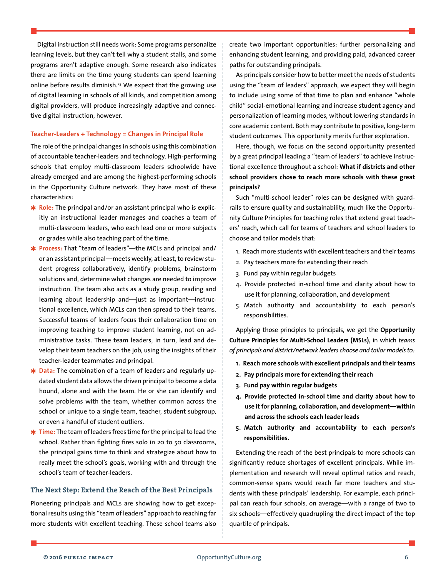Digital instruction still needs work: Some programs personalize learning levels, but they can't tell why a student stalls, and some programs aren't adaptive enough. Some research also indicates there are limits on the time young students can spend learning online before results diminish.25 We expect that the growing use of digital learning in schools of all kinds, and competition among digital providers, will produce increasingly adaptive and connective digital instruction, however.

# **Teacher-Leaders + Technology = Changes in Principal Role**

The role of the principal changes in schools using this combination of accountable teacher-leaders and technology. High-performing schools that employ multi-classroom leaders schoolwide have already emerged and are among the highest-performing schools in the Opportunity Culture network. They have most of these characteristics:

- ✱ **Role:** The principal and/or an assistant principal who is explicitly an instructional leader manages and coaches a team of multi-classroom leaders, who each lead one or more subjects or grades while also teaching part of the time.
- ✱ **Process:** That "team of leaders"—the MCLs and principal and/ or an assistant principal—meets weekly, at least, to review student progress collaboratively, identify problems, brainstorm solutions and, determine what changes are needed to improve instruction. The team also acts as a study group, reading and learning about leadership and—just as important—instructional excellence, which MCLs can then spread to their teams. Successful teams of leaders focus their collaboration time on improving teaching to improve student learning, not on administrative tasks. These team leaders, in turn, lead and develop their team teachers on the job, using the insights of their teacher-leader teammates and principal.
- ✱ **Data:** The combination of a team of leaders and regularly updated student data allows the driven principal to become a data hound, alone and with the team. He or she can identify and solve problems with the team, whether common across the school or unique to a single team, teacher, student subgroup, or even a handful of student outliers.
- ✱ **Time:** The team ofleaders frees time forthe principalto lead the school. Rather than fighting fires solo in 20 to 50 classrooms, the principal gains time to think and strategize about how to really meet the school's goals, working with and through the school's team of teacher-leaders.

# **The Next Step: Extend the Reach of the Best Principals**

Pioneering principals and MCLs are showing how to get exceptional results using this "team of leaders" approach to reaching far more students with excellent teaching. These school teams also create two important opportunities: further personalizing and enhancing student learning, and providing paid, advanced career paths for outstanding principals.

As principals consider how to better meet the needs of students using the "team of leaders" approach, we expect they will begin to include using some of that time to plan and enhance "whole child" social-emotional learning and increase student agency and personalization of learning modes, without lowering standards in core academic content. Both may contribute to positive, long-term student outcomes. This opportunity merits further exploration.

Here, though, we focus on the second opportunity presented by a great principal leading a "team of leaders" to achieve instructional excellence throughout a school: **What if districts and other school providers chose to reach more schools with these great principals?**

Such "multi-school leader" roles can be designed with guardrails to ensure quality and sustainability, much like the Opportunity Culture Principles for teaching roles that extend great teachers' reach, which call for teams of teachers and school leaders to choose and tailor models that:

- 1. Reach more students with excellent teachers and their teams
- 2. Pay teachers more for extending their reach
- 3. Fund pay within regular budgets
- 4. Provide protected in-school time and clarity about how to use it for planning, collaboration, and development
- 5. Match authority and accountability to each person's responsibilities.

Applying those principles to principals, we get the **Opportunity Culture Principles for Multi-School Leaders (MSLs),** in which *teams of principals and district/network leaders choose and tailor models to:*

- **1. Reach more schools with excellent principals and their teams**
- **2. Pay principals more for extending their reach**
- **3. Fund pay within regular budgets**
- **4. Provide protected in-school time and clarity about how to use it for planning, collaboration, and development—within and across the schools each leader leads**
- **5. Match authority and accountability to each person's responsibilities.**

Extending the reach of the best principals to more schools can significantly reduce shortages of excellent principals. While implementation and research will reveal optimal ratios and reach, common-sense spans would reach far more teachers and students with these principals' leadership. For example, each principal can reach four schools, on average—with a range of two to six schools—effectively quadrupling the direct impact of the top quartile of principals.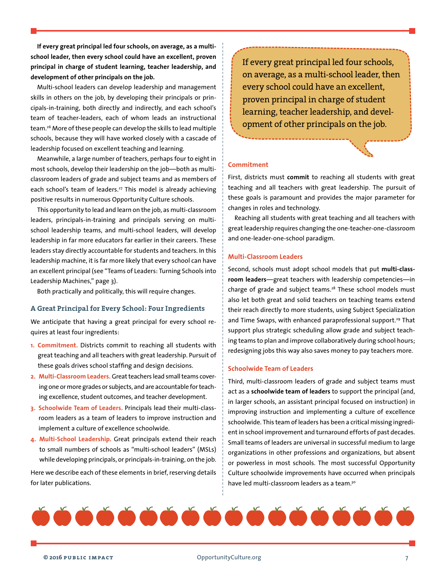**If every great principal led four schools, on average, as a multischool leader, then every school could have an excellent, proven principal in charge of student learning, teacher leadership, and development of other principals on the job.** 

Multi-school leaders can develop leadership and management skills in others on the job, by developing their principals or principals-in-training, both directly and indirectly, and each school's team of teacher-leaders, each of whom leads an instructional team.<sup>26</sup> More of these people can develop the skills to lead multiple schools, because they will have worked closely with a cascade of leadership focused on excellent teaching and learning.

Meanwhile, a large number of teachers, perhaps four to eight in most schools, develop their leadership on the job—both as multiclassroom leaders of grade and subject teams and as members of each school's team of leaders.<sup>27</sup> This model is already achieving positive results in numerous Opportunity Culture schools.

This opportunity to lead and learn on the job, as multi-classroom leaders, principals-in-training and principals serving on multischool leadership teams, and multi-school leaders, will develop leadership in far more educators far earlier in their careers. These leaders stay directly accountable for students and teachers. In this leadership machine, it is far more likely that every school can have an excellent principal (see "Teams of Leaders: Turning Schools into Leadership Machines," page 3).

Both practically and politically, this will require changes.

# **A Great Principal for Every School: Four Ingredients**

We anticipate that having a great principal for every school requires at least four ingredients:

- **1. Commitment.** Districts commit to reaching all students with great teaching and all teachers with great leadership. Pursuit of these goals drives school staffing and design decisions.
- 2. Multi-Classroom Leaders. Great teachers lead small teams covering one or more grades or subjects, and are accountable for teaching excellence, student outcomes, and teacher development.
- **3. Schoolwide Team of Leaders.** Principals lead their multi-classroom leaders as a team of leaders to improve instruction and implement a culture of excellence schoolwide.
- **4. Multi-School Leadership.** Great principals extend their reach to small numbers of schools as "multi-school leaders" (MSLs) while developing principals, or principals-in-training, on the job.

Here we describe each of these elements in brief, reserving details for later publications.

If every great principal led four schools, on average, as a multi-school leader, then every school could have an excellent, proven principal in charge of student learning, teacher leadership, and development of other principals on the job.

# **Commitment**

First, districts must **commit** to reaching all students with great teaching and all teachers with great leadership. The pursuit of these goals is paramount and provides the major parameter for changes in roles and technology.

Reaching all students with great teaching and all teachers with great leadership requires changing the one-teacher-one-classroom and one-leader-one-school paradigm.

# **Multi-Classroom Leaders**

Second, schools must adopt school models that put **multi-classroom leaders**—great teachers with leadership competencies—in charge of grade and subject teams.<sup>28</sup> These school models must also let both great and solid teachers on teaching teams extend their reach directly to more students, using Subject Specialization and Time Swaps, with enhanced paraprofessional support.<sup>29</sup> That support plus strategic scheduling allow grade and subject teaching teams to plan and improve collaboratively during school hours; redesigning jobs this way also saves money to pay teachers more.

# **Schoolwide Team of Leaders**

Third, multi-classroom leaders of grade and subject teams must act as a **schoolwide team of leaders** to support the principal (and, in larger schools, an assistant principal focused on instruction) in improving instruction and implementing a culture of excellence schoolwide. This team of leaders has been a critical missing ingredient in school improvement and turnaround efforts of past decades. Small teams of leaders are universal in successful medium to large organizations in other professions and organizations, but absent or powerless in most schools. The most successful Opportunity Culture schoolwide improvements have occurred when principals have led multi-classroom leaders as a team.<sup>30</sup>

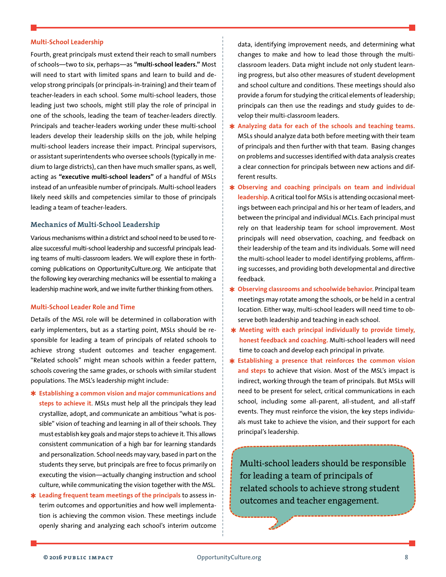# **Multi-School Leadership**

Fourth, great principals must extend their reach to small numbers of schools—two to six, perhaps—as **"multi-school leaders."** Most will need to start with limited spans and learn to build and develop strong principals (or principals-in-training) and their team of teacher-leaders in each school. Some multi-school leaders, those leading just two schools, might still play the role of principal in one of the schools, leading the team of teacher-leaders directly. Principals and teacher-leaders working under these multi-school leaders develop their leadership skills on the job, while helping multi-school leaders increase their impact. Principal supervisors, or assistant superintendents who oversee schools (typically in medium to large districts), can then have much smaller spans, as well, acting as **"executive multi-school leaders"** of a handful of MSLs instead of an unfeasible number of principals. Multi-school leaders likely need skills and competencies similar to those of principals leading a team of teacher-leaders.

# **Mechanics of Multi-School Leadership**

Various mechanisms within a district and school need to be used to realize successful multi-school leadership and successful principals leading teams of multi-classroom leaders. We will explore these in forthcoming publications on OpportunityCulture.org. We anticipate that the following key overarching mechanics will be essential to making a leadership machine work, and we invite further thinking from others.

#### **Multi-School Leader Role and Time**

Details of the MSL role will be determined in collaboration with early implementers, but as a starting point, MSLs should be responsible for leading a team of principals of related schools to achieve strong student outcomes and teacher engagement. "Related schools" might mean schools within a feeder pattern, schools covering the same grades, or schools with similar student populations. The MSL's leadership might include:

- ✱ **Establishing a common vision and major communications and steps to achieve it**. MSLs must help all the principals they lead crystallize, adopt, and communicate an ambitious "what is possible" vision of teaching and learning in all of their schools. They must establish key goals and major steps to achieve it. This allows consistent communication of a high bar for learning standards and personalization. School needs may vary, based in part on the students they serve, but principals are free to focus primarily on executing the vision—actually changing instruction and school culture, while communicating the vision together with the MSL.
- ✱ **Leading frequent team meetings of the principals** to assess interim outcomes and opportunities and how well implementation is achieving the common vision. These meetings include openly sharing and analyzing each school's interim outcome

data, identifying improvement needs, and determining what changes to make and how to lead those through the multiclassroom leaders. Data might include not only student learning progress, but also other measures of student development and school culture and conditions. These meetings should also provide a forum for studying the critical elements of leadership; principals can then use the readings and study guides to develop their multi-classroom leaders.

- ✱ **Analyzing data for each of the schools and teaching teams.** MSLs should analyze data both before meeting with their team of principals and then further with that team. Basing changes on problems and successes identified with data analysis creates a clear connection for principals between new actions and different results.
- ✱ **Observing and coaching principals on team and individual**  leadership. A critical tool for MSLs is attending occasional meetings between each principal and his or her team of leaders, and between the principal and individual MCLs. Each principal must rely on that leadership team for school improvement. Most principals will need observation, coaching, and feedback on their leadership of the team and its individuals. Some will need the multi-school leader to model identifying problems, affirming successes, and providing both developmental and directive feedback.
- ✱ **Observing classrooms and schoolwide behavior.** Principalteam meetings may rotate among the schools, or be held in a central location. Either way, multi-school leaders will need time to observe both leadership and teaching in each school.
- ✱ **Meeting with each principal individually to provide timely, honest feedback and coaching.** Multi-school leaders will need time to coach and develop each principal in private.
- ✱ **Establishing a presence that reinforces the common vision and steps** to achieve that vision. Most of the MSL's impact is indirect, working through the team of principals. But MSLs will need to be present for select, critical communications in each school, including some all-parent, all-student, and all-staff events. They must reinforce the vision, the key steps individuals must take to achieve the vision, and their support for each principal's leadership.

Multi-school leaders should be responsible for leading a team of principals of related schools to achieve strong student outcomes and teacher engagement.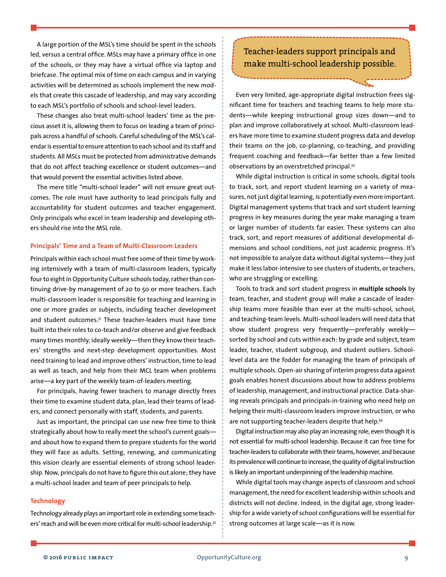A large portion of the MSL's time should be spent in the schools led, versus a central office. MSLs may have a primary office in one of the schools, or they may have a virtual office via laptop and briefcase. The optimal mix of time on each campus and in varying activities will be determined as schools implement the new models that create this cascade of leadership, and may vary according to each MSL's portfolio of schools and school-level leaders.

These changes also treat multi-school leaders' time as the precious asset it is, allowing them to focus on leading a team of principals across a handful of schools. Careful scheduling of the MSL's calendar is essential to ensure attention to each school and its staff and students. All MSLs must be protected from administrative demands that do not affect teaching excellence or student outcomes—and that would prevent the essential activities listed above.

The mere title "multi-school leader" will not ensure great outcomes. The role must have authority to lead principals fully and accountability for student outcomes and teacher engagement. Only principals who excel in team leadership and developing others should rise into the MSL role.

# **Principals' Time and a Team of Multi-Classroom Leaders**

Principals within each school must free some of their time by working intensively with a team of multi-classroom leaders, typically four to eight in Opportunity Culture schools today, rather than continuing drive-by management of 20 to 50 or more teachers. Each multi-classroom leader is responsible for teaching and learning in one or more grades or subjects, including teacher development and student outcomes.<sup>31</sup> These teacher-leaders must have time built into their roles to co-teach and/or observe and give feedback many times monthly, ideally weekly—then they know their teachers' strengths and next-step development opportunities. Most need training to lead and improve others' instruction, time to lead as well as teach, and help from their MCL team when problems arise—a key part of the weekly team-of-leaders meeting.

For principals, having fewer teachers to manage directly frees their time to examine student data, plan, lead their teams of leaders, and connect personally with staff, students, and parents.

Just as important, the principal can use new free time to think strategically about how to really meet the school's current goalsand about how to expand them to prepare students for the world they will face as adults. Setting, renewing, and communicating this vision clearly are essential elements of strong school leadership. Now, principals do not have to figure this out alone; they have a multi-school leader and team of peer principals to help.

# **Technology**

Technology already plays an important role in extending some teachers' reach and will be even more critical for multi-school leadership.<sup>32</sup>

# Teacher-leaders support principals and make multi-school leadership possible.

Even very limited, age-appropriate digital instruction frees significant time for teachers and teaching teams to help more students—while keeping instructional group sizes down—and to plan and improve collaboratively at school. Multi-classroom leaders have more time to examine student progress data and develop their teams on the job, co-planning, co-teaching, and providing frequent coaching and feedback—far better than a few limited observations by an overstretched principal.33

While digital instruction is critical in some schools, digital tools to track, sort, and report student learning on a variety of measures, not just digital learning, is potentially even more important. Digital management systems that track and sort student learning progress in key measures during the year make managing a team or larger number of students far easier. These systems can also track, sort, and report measures of additional developmental dimensions and school conditions, not just academic progress. It's not impossible to analyze data without digital systems—they just make it less labor-intensive to see clusters of students, or teachers, who are struggling or excelling.

Tools to track and sort student progress in **multiple schools** by team, teacher, and student group will make a cascade of leadership teams more feasible than ever at the multi-school, school, and teaching-team levels. Multi-school leaders will need data that show student progress very frequently—preferably weekly sorted by school and cuts within each: by grade and subject, team leader, teacher, student subgroup, and student outliers. Schoollevel data are the fodder for managing the team of principals of multiple schools. Open-air sharing of interim progress data against goals enables honest discussions about how to address problems of leadership, management, and instructional practice. Data-sharing reveals principals and principals-in-training who need help on helping their multi-classroom leaders improve instruction, or who are not supporting teacher-leaders despite that help.<sup>34</sup>

Digital instruction may also play an increasing role, even though it is not essential for multi-school leadership. Because it can free time for teacher-leaders to collaborate with their teams, however, and because its prevalence will continue to increase, the quality of digital instruction is likely an important underpinning of the leadership machine.

While digital tools may change aspects of classroom and school management, the need for excellent leadership within schools and districts will not decline. Indeed, in the digital age, strong leadership for a wide variety of school configurations will be essential for strong outcomes at large scale—as it is now.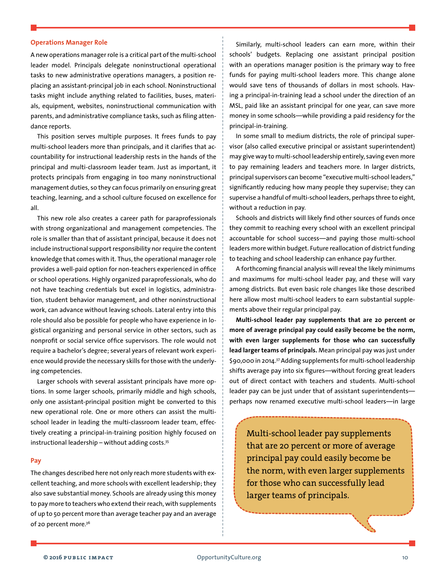# **Operations Manager Role**

A new operations manager role is a critical part of the multi-school leader model. Principals delegate noninstructional operational tasks to new administrative operations managers, a position replacing an assistant-principal job in each school. Noninstructional tasks might include anything related to facilities, buses, materials, equipment, websites, noninstructional communication with parents, and administrative compliance tasks, such as filing attendance reports.

This position serves multiple purposes. It frees funds to pay multi-school leaders more than principals, and it clarifies that accountability for instructional leadership rests in the hands of the principal and multi-classroom leader team. Just as important, it protects principals from engaging in too many noninstructional management duties, so they can focus primarily on ensuring great teaching, learning, and a school culture focused on excellence for all.

This new role also creates a career path for paraprofessionals with strong organizational and management competencies. The role is smaller than that of assistant principal, because it does not include instructional support responsibility nor require the content knowledge that comes with it. Thus, the operational manager role provides a well-paid option for non-teachers experienced in office or school operations. Highly organized paraprofessionals, who do not have teaching credentials but excel in logistics, administration, student behavior management, and other noninstructional work, can advance without leaving schools. Lateral entry into this role should also be possible for people who have experience in logistical organizing and personal service in other sectors, such as nonprofit or social service office supervisors. The role would not require a bachelor's degree; several years of relevant work experience would provide the necessary skills for those with the underlying competencies.

Larger schools with several assistant principals have more options. In some larger schools, primarily middle and high schools, only one assistant-principal position might be converted to this new operational role. One or more others can assist the multischool leader in leading the multi-classroom leader team, effectively creating a principal-in-training position highly focused on instructional leadership – without adding costs.35

#### **Pay**

The changes described here not only reach more students with excellent teaching, and more schools with excellent leadership; they also save substantial money. Schools are already using this money to pay more to teachers who extend their reach, with supplements of up to 50 percent more than average teacher pay and an average of 20 percent more.<sup>36</sup>

Similarly, multi-school leaders can earn more, within their schools' budgets. Replacing one assistant principal position with an operations manager position is the primary way to free funds for paying multi-school leaders more. This change alone would save tens of thousands of dollars in most schools. Having a principal-in-training lead a school under the direction of an MSL, paid like an assistant principal for one year, can save more money in some schools—while providing a paid residency for the principal-in-training.

In some small to medium districts, the role of principal supervisor (also called executive principal or assistant superintendent) may give way to multi-school leadership entirely, saving even more to pay remaining leaders and teachers more. In larger districts, principal supervisors can become "executive multi-school leaders," significantly reducing how many people they supervise; they can supervise a handful of multi-school leaders, perhaps three to eight, without a reduction in pay.

Schools and districts will likely find other sources of funds once they commit to reaching every school with an excellent principal accountable for school success—and paying those multi-school leaders more within budget. Future reallocation of district funding to teaching and school leadership can enhance pay further.

A forthcoming financial analysis will reveal the likely minimums and maximums for multi-school leader pay, and these will vary among districts. But even basic role changes like those described here allow most multi-school leaders to earn substantial supplements above their regular principal pay.

**Multi-school leader pay supplements that are 20 percent or more of average principal pay could easily become be the norm, with even larger supplements for those who can successfully lead larger teams of principals.** Mean principal pay was just under \$90,000 in 2014.37 Adding supplements for multi-school leadership shifts average pay into six figures—without forcing great leaders out of direct contact with teachers and students. Multi-school leader pay can be just under that of assistant superintendents perhaps now renamed executive multi-school leaders—in large

Multi-school leader pay supplements that are 20 percent or more of average principal pay could easily become be the norm, with even larger supplements for those who can successfully lead larger teams of principals.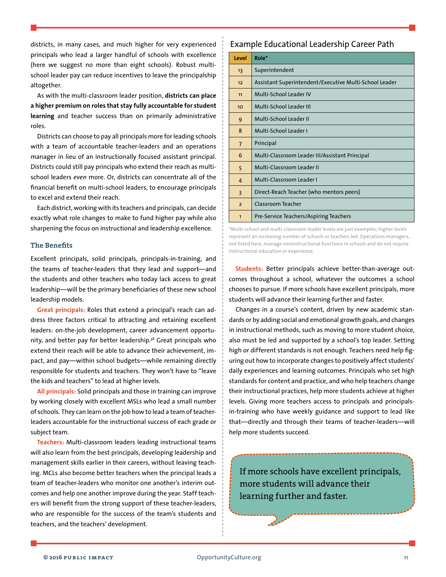districts, in many cases, and much higher for very experienced principals who lead a larger handful of schools with excellence (here we suggest no more than eight schools). Robust multischool leader pay can reduce incentives to leave the principalship altogether.

As with the multi-classroom leader position, **districts can place a higher premium on roles that stay fully accountable for student learning** and teacher success than on primarily administrative roles.

Districts can choose to pay all principals more forleading schools with a team of accountable teacher-leaders and an operations manager in lieu of an instructionally focused assistant principal. Districts could still pay principals who extend their reach as multischool leaders *even* more. Or, districts can concentrate all of the financial benefit on multi-school leaders, to encourage principals to excel and extend their reach.

Each district, working with its teachers and principals, can decide exactly what role changes to make to fund higher pay while also sharpening the focus on instructional and leadership excellence.

# **The Benefits**

Excellent principals, solid principals, principals-in-training, and the teams of teacher-leaders that they lead and support—and the students and other teachers who today lack access to great leadership—will be the primary beneficiaries of these new school leadership models.

**Great principals:** Roles that extend a principal's reach can address three factors critical to attracting and retaining excellent leaders: on-the-job development, career advancement opportunity, and better pay for better leadership.<sup>38</sup> Great principals who extend their reach will be able to advance their achievement, impact, and pay—within school budgets—while remaining directly responsible for students and teachers. They won't have to "leave the kids and teachers" to lead at higher levels.

**All principals:** Solid principals and those in training can improve by working closely with excellent MSLs who lead a small number of schools. They can learn on the job how to lead a team of teacherleaders accountable for the instructional success of each grade or subject team.

**Teachers:** Multi-classroom leaders leading instructional teams will also learn from the best principals, developing leadership and management skills earlier in their careers, without leaving teaching. MCLs also become better teachers when the principal leads a team of teacher-leaders who monitor one another's interim outcomes and help one another improve during the year. Staff teachers will benefit from the strong support of these teacher-leaders, who are responsible for the success of the team's students and teachers, and the teachers' development.

# Example Educational Leadership Career Path

| Level                   | Role*                                                  |
|-------------------------|--------------------------------------------------------|
| 13                      | Superintendent                                         |
| 12                      | Assistant Superintendent/Executive Multi-School Leader |
| 11                      | Multi-School Leader IV                                 |
| 10 <sup>2</sup>         | Multi-School Leader III                                |
| 9                       | Multi-School Leader II                                 |
| 8                       | Multi-School Leader I                                  |
| 7                       | Principal                                              |
| 6                       | Multi-Classroom Leader III/Assistant Principal         |
| 5                       | Multi-Classroom Leader II                              |
| 4                       | Multi-Classroom Leader I                               |
| $\overline{\mathbf{3}}$ | Direct-Reach Teacher (who mentors peers)               |
| $\overline{2}$          | Classroom Teacher                                      |
| 1                       | Pre-Service Teachers/Aspiring Teachers                 |

\*Multi-school and multi-classroom leader levels are just examples; higher levels represent an increasing number of schools or teachers led. Operations managers, not listed here, manage noninstructional functions in schools and do not require instructional education or experience.

**Students:** Better principals achieve better-than-average outcomes throughout a school, whatever the outcomes a school chooses to pursue. If more schools have excellent principals, more students will advance their learning further and faster.

Changes in a course's content, driven by new academic standards or by adding social and emotional growth goals, and changes in instructional methods, such as moving to more student choice, also must be led and supported by a school's top leader. Setting high or different standards is not enough. Teachers need help figuring out how to incorporate changes to positively affect students' daily experiences and learning outcomes. Principals who set high standards for content and practice, and who help teachers change their instructional practices, help more students achieve at higher levels. Giving more teachers access to principals and principalsin-training who have weekly guidance and support to lead like that—directly and through their teams of teacher-leaders—will help more students succeed.

If more schools have excellent principals, more students will advance their learning further and faster.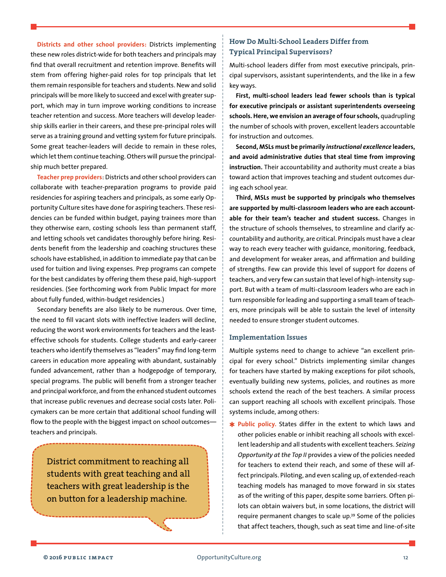**Districts and other school providers:** Districts implementing these new roles district-wide for both teachers and principals may find that overall recruitment and retention improve. Benefits will stem from offering higher-paid roles for top principals that let them remain responsible for teachers and students. New and solid principals will be more likely to succeed and excel with greater support, which may in turn improve working conditions to increase teacher retention and success. More teachers will develop leadership skills earlier in their careers, and these pre-principal roles will serve as a training ground and vetting system for future principals. Some great teacher-leaders will decide to remain in these roles, which let them continue teaching. Others will pursue the principalship much better prepared.

**Teacher prep providers**: Districts and other school providers can collaborate with teacher-preparation programs to provide paid residencies for aspiring teachers and principals, as some early Opportunity Culture sites have done for aspiring teachers. These residencies can be funded within budget, paying trainees more than they otherwise earn, costing schools less than permanent staff, and letting schools vet candidates thoroughly before hiring. Residents benefit from the leadership and coaching structures these schools have established, in addition to immediate pay that can be used for tuition and living expenses. Prep programs can compete for the best candidates by offering them these paid, high-support residencies. (See forthcoming work from Public Impact for more about fully funded, within-budget residencies.)

Secondary benefits are also likely to be numerous. Over time, the need to fill vacant slots with ineffective leaders will decline, reducing the worst work environments for teachers and the leasteffective schools for students. College students and early-career teachers who identify themselves as "leaders" may find long-term careers in education more appealing with abundant, sustainably funded advancement, rather than a hodgepodge of temporary, special programs. The public will benefit from a stronger teacher and principal workforce, and from the enhanced student outcomes that increase public revenues and decrease social costs later. Policymakers can be more certain that additional school funding will flow to the people with the biggest impact on school outcomesteachers and principals.

District commitment to reaching all students with great teaching and all teachers with great leadership is the on button for a leadership machine.

# **How Do Multi-School Leaders Differ from Typical Principal Supervisors?**

Multi-school leaders differ from most executive principals, principal supervisors, assistant superintendents, and the like in a few key ways.

**First, multi-school leaders lead fewer schools than is typical for executive principals or assistant superintendents overseeing schools. Here, we envision an average of four schools,** quadrupling the number of schools with proven, excellent leaders accountable for instruction and outcomes.

**Second, MSLs must be primarily** *instructional excellence* **leaders, and avoid administrative duties that steal time from improving instruction.** Their accountability and authority must create a bias toward action that improves teaching and student outcomes during each school year.

**Third, MSLs must be supported by principals who themselves are supported by multi-classroom leaders who are each accountable for their team's teacher and student success.** Changes in the structure of schools themselves, to streamline and clarify accountability and authority, are critical. Principals must have a clear way to reach every teacher with guidance, monitoring, feedback, and development for weaker areas, and affirmation and building of strengths. Few can provide this level of support for dozens of teachers, and very few can sustain that level of high-intensity support. But with a team of multi-classroom leaders who are each in turn responsible for leading and supporting a small team of teachers, more principals will be able to sustain the level of intensity needed to ensure stronger student outcomes.

# **Implementation Issues**

Multiple systems need to change to achieve "an excellent principal for every school." Districts implementing similar changes for teachers have started by making exceptions for pilot schools, eventually building new systems, policies, and routines as more schools extend the reach of the best teachers. A similar process can support reaching all schools with excellent principals. Those systems include, among others:

✱ **Public policy.** States differ in the extent to which laws and other policies enable or inhibit reaching all schools with excellent leadership and all students with excellent teachers. *Seizing Opportunity at the Top II* provides a view of the policies needed for teachers to extend their reach, and some of these will affect principals. Piloting, and even scaling up, of extended-reach teaching models has managed to move forward in six states as of the writing of this paper, despite some barriers. Often pilots can obtain waivers but, in some locations, the district will require permanent changes to scale up.39 Some of the policies that affect teachers, though, such as seat time and line-of-site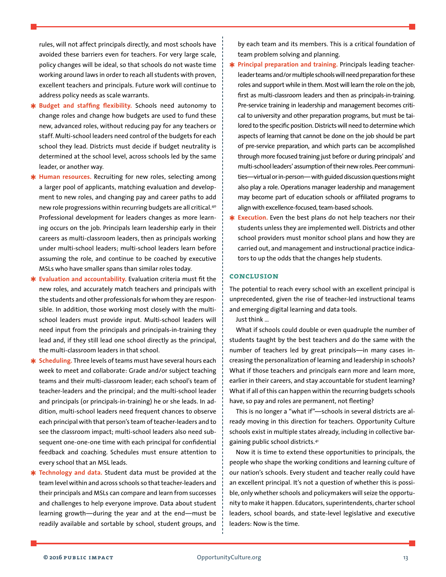rules, will not affect principals directly, and most schools have avoided these barriers even for teachers. For very large scale, policy changes will be ideal, so that schools do not waste time working around laws in order to reach all students with proven, excellent teachers and principals. Future work will continue to address policy needs as scale warrants.

- ✱ **Budget and staffing flexibility.** Schools need autonomy to change roles and change how budgets are used to fund these new, advanced roles, without reducing pay for any teachers or staff. Multi-school leaders need control of the budgets for each school they lead. Districts must decide if budget neutrality is determined at the school level, across schools led by the same leader, or another way.
- ✱ **Human resources.** Recruiting for new roles, selecting among a larger pool of applicants, matching evaluation and development to new roles, and changing pay and career paths to add new role progressions within recurring budgets are all critical.40 Professional development for leaders changes as more learning occurs on the job. Principals learn leadership early in their careers as multi-classroom leaders, then as principals working under multi-school leaders; multi-school leaders learn before assuming the role, and continue to be coached by executive MSLs who have smaller spans than similar roles today.
- ✱ **Evaluation and accountability.** Evaluation criteria must fit the new roles, and accurately match teachers and principals with the students and other professionals for whom they are responsible. In addition, those working most closely with the multischool leaders must provide input. Multi-school leaders will need input from the principals and principals-in-training they lead and, if they still lead one school directly as the principal, the multi-classroom leaders in that school.
- ✱ **Scheduling.** Three levels ofteams must have several hours each week to meet and collaborate: Grade and/or subject teaching teams and their multi-classroom leader; each school's team of teacher-leaders and the principal; and the multi-school leader and principals (or principals-in-training) he or she leads. In addition, multi-school leaders need frequent chances to observe each principal with that person's team of teacher-leaders and to see the classroom impact; multi-school leaders also need subsequent one-one-one time with each principal for confidential feedback and coaching. Schedules must ensure attention to every school that an MSL leads.
- ✱ **Technology and data.** Student data must be provided at the team level within and across schools so that teacher-leaders and their principals and MSLs can compare and learn from successes and challenges to help everyone improve. Data about student learning growth—during the year and at the end—must be readily available and sortable by school, student groups, and

by each team and its members. This is a critical foundation of team problem solving and planning.

- ✱ **Principal preparation and training.** Principals leading teacherleader teams and/or multiple schools will need preparation for these roles and support while in them. Most will learn the role on the job, first as multi-classroom leaders and then as principals-in-training. Pre-service training in leadership and management becomes critical to university and other preparation programs, but must be tailored to the specific position. Districts will need to determine which aspects of learning that cannot be done on the job should be part of pre-service preparation, and which parts can be accomplished through more focused training just before or during principals' and multi-school leaders' assumption of their new roles. Peer communities—virtual or in-person—with guided discussion questions might also play a role. Operations manager leadership and management may become part of education schools or affiliated programs to align with excellence-focused, team-based schools.
- ✱ **Execution.** Even the best plans do not help teachers nor their students unless they are implemented well. Districts and other school providers must monitor school plans and how they are carried out, and management and instructional practice indicators to up the odds that the changes help students.

# **conclusion**

The potential to reach every school with an excellent principal is unprecedented, given the rise of teacher-led instructional teams and emerging digital learning and data tools.

Just think …

What if schools could double or even quadruple the number of students taught by the best teachers and do the same with the number of teachers led by great principals—in many cases increasing the personalization of learning and leadership in schools? What if those teachers and principals earn more and learn more, earlier in their careers, and stay accountable for student learning? What if all of this can happen within the recurring budgets schools have, so pay and roles are permanent, not fleeting?

This is no longer a "what if"—schools in several districts are already moving in this direction for teachers. Opportunity Culture schools exist in multiple states already, including in collective bargaining public school districts.41

Now it is time to extend these opportunities to principals, the people who shape the working conditions and learning culture of our nation's schools. Every student and teacher really could have an excellent principal. It's not a question of whether this is possible, only whether schools and policymakers will seize the opportunity to make it happen. Educators, superintendents, charter school leaders, school boards, and state-level legislative and executive leaders: Now is the time.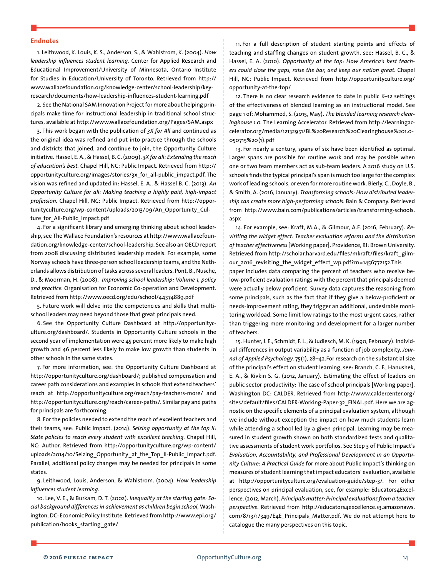#### **Endnotes**

1. Leithwood, K. Louis, K. S., Anderson, S., & Wahlstrom, K. (2004). *How leadership influences student learning.* Center for Applied [Research](http://www.cehd.umn.edu/CAREI/default.html) and Educational [Improvement/University](http://www.cehd.umn.edu/CAREI/default.html) of Minnesota, Ontario [Institute](http://www.oise.utoronto.ca/oise/) for Studies in [Education/University](http://www.oise.utoronto.ca/oise/) of Toronto. Retrieved from [http://](http://www.wallacefoundation.org/knowledge-center/school-leadership/key-research/documents/how-leadership-influences-student-learning.pdf) [www.wallacefoundation.org/knowledge-center/school-leadership/key](http://www.wallacefoundation.org/knowledge-center/school-leadership/key-research/documents/how-leadership-influences-student-learning.pdf)[research/documents/how-leadership-influences-student-learning.pdf](http://www.wallacefoundation.org/knowledge-center/school-leadership/key-research/documents/how-leadership-influences-student-learning.pdf)

2. See the National SAM Innovation Project for more about helping principals make time for instructional leadership in traditional school structures, available at http://www.wallacefoundation.org/Pages/SAM.aspx

3. This work began with the publication of *3X for All* and continued as the original idea was refined and put into practice through the schools and districts that joined, and continue to join, the Opportunity Culture initiative. Hassel, E. A., & Hassel, B. C. (2009). *3X for all: Extending the reach of education's best.* Chapel Hill, NC: Public Impact. Retrieved from [http://](http://opportunityculture.org/images/stories/3x_for_all-public_impact.pdf) [opportunityculture.org/images/stories/3x\\_for\\_all-public\\_impact.pdf.](http://opportunityculture.org/images/stories/3x_for_all-public_impact.pdf) The vision was refined and updated in: Hassel, E. A., & Hassel B. C. (2013). *An Opportunity Culture for all: Making teaching a highly paid, high-impact profession.* Chapel Hill, NC: Public Impact. Retrieved from [http://oppor](http://opportunityculture.org/wp-content/uploads/2013/09/An_Opportunity_Culture_for_All-Public_Impact.pdf)[tunityculture.org/wp-content/uploads/2013/09/An\\_Opportunity\\_Cul](http://opportunityculture.org/wp-content/uploads/2013/09/An_Opportunity_Culture_for_All-Public_Impact.pdf)ture for All-Public Impact.pdf

4. For a significant library and emerging thinking about school leadership, see The Wallace Foundation's resources at [http://www.wallacefoun](http://www.wallacefoundation.org/knowledge-center/school-leadership)[dation.org/knowledge-center/school-leadership.](http://www.wallacefoundation.org/knowledge-center/school-leadership) See also an OECD report from 2008 discussing distributed leadership models. For example, some Norway schools have three-person school leadership teams, and the Netherlands allows distribution of tasks across several leaders. Pont, B., Nusche, D., & Moorman, H. (2008). *Improving school leadership: Volume 1, policy and practice.* Organisation for Economic Co-operation and Development. Retrieved from <http://www.oecd.org/edu/school/44374889.pdf>

5. Future work will delve into the competencies and skills that multischool leaders may need beyond those that great principals need.

6. See the Opportunity Culture Dashboard at [http://opportunityc](http://opportunityculture.org/dashboard/)[ulture.org/dashboard/.](http://opportunityculture.org/dashboard/) Students in Opportunity Culture schools in the second year of implementation were 45 percent more likely to make high growth and 46 percent less likely to make low growth than students in other schools in the same states.

7. For more information, see: the Opportunity Culture Dashboard at [http://opportunityculture.org/dashboard/;](http://opportunityculture.org/dashboard/) published compensation and career path considerations and examples in schools that extend teachers' reach at <http://opportunityculture.org/reach/pay-teachers-more/> and http://opportunityculture.org/reach/career-paths/. Similar pay and paths for principals are forthcoming.

8. For the policies needed to extend the reach of excellent teachers and their teams, see: Public Impact. (2014). *Seizing opportunity at the top II*: *State policies to reach every student with excellent teaching.* Chapel Hill, NC: Author. Retrieved from [http://opportunityculture.org/wp-content/](http://opportunityculture.org/wp-content/uploads/2014/10/Seizing_Opportunity_at_the_Top_II-Public_Impact.pdf) uploads/2014/10/Seizing Opportunity at the Top II-Public Impact.pdf. Parallel, additional policy changes may be needed for principals in some states.

9. Leithwood, Louis, Anderson, & Wahlstrom. (2004). *How leadership influences student learning.*

10. Lee, V. E., & Burkam, D. T. (2002). *Inequality at the starting gate: Social background differences in achievement as children begin school,* Washington, DC: Economic Policy Institute. Retrieved from [http://www.epi.org/](http://www.epi.org/publication/books_starting_gate/) publication/books starting gate/

11. For a full description of student starting points and effects of teaching and staffing changes on student growth, see: Hassel, B. C., & Hassel, E. A. (2010). *Opportunity at the top: How America's best teachers could close the gaps, raise the bar, and keep our nation great.* Chapel Hill, NC: Public Impact. Retrieved from [http://opportunityculture.org/](http://opportunityculture.org/opportunity-at-the-top/) [opportunity-at-the-top/](http://opportunityculture.org/opportunity-at-the-top/)

12. There is no clear research evidence to date in public K–12 settings of the effectiveness of blended learning as an instructional model. See page 1 of: Mohammed, S. (2015, May). *The blended learning research clearinghouse 1.0.* The Learning Accelerator. Retrieved from [http://learningac](http://learningaccelerator.org/media/12132951/BL%20Research%20Clearinghouse%201.0-050715%20(1).pdf)[celerator.org/media/12132951/BL%20Research%20Clearinghouse%201.0-](http://learningaccelerator.org/media/12132951/BL%20Research%20Clearinghouse%201.0-050715%20(1).pdf) [050715%20\(1\).pdf](http://learningaccelerator.org/media/12132951/BL%20Research%20Clearinghouse%201.0-050715%20(1).pdf)

13. For nearly a century, spans of six have been identified as optimal. Larger spans are possible for routine work and may be possible when one or two team members act as sub-team leaders. A 2016 study on U.S. schools finds the typical principal's span is much too large for the complex work of leading schools, or even for more routine work. Bierly, C., Doyle, B., & Smith, A. (2016, January). *Transforming schools: How distributed leadership can create more high-performing schools*. Bain & Company. Retrieved from [http://www.bain.com/publications/articles/transforming-schools.](http://www.bain.com/publications/articles/transforming-schools.aspx) [aspx](http://www.bain.com/publications/articles/transforming-schools.aspx)

14. For example, see: Kraft, M.A., & Gilmour, A.F. (2016, February). *[Re](http://scholar.harvard.edu/mkraft/publications/revisiting-widget-effect-teacher-evaluation-reforms-and-distribution-teacher)[visiting the widget effect: Teacher evaluation reforms and the distribution](http://scholar.harvard.edu/mkraft/publications/revisiting-widget-effect-teacher-evaluation-reforms-and-distribution-teacher)  [of teacher effectiveness](http://scholar.harvard.edu/mkraft/publications/revisiting-widget-effect-teacher-evaluation-reforms-and-distribution-teacher)*[Working paper]. Providence, RI: Brown University. Retrieved from [http://scholar.harvard.edu/files/mkraft/files/kraft\\_gilm](http://scholar.harvard.edu/files/mkraft/files/kraft_gilmour_2016_revisiting_the_widget_effect_wp.pdf?m=1456772152)[our\\_2016\\_revisiting\\_the\\_widget\\_effect\\_wp.pdf?m=1456772152.](http://scholar.harvard.edu/files/mkraft/files/kraft_gilmour_2016_revisiting_the_widget_effect_wp.pdf?m=1456772152)This paper includes data comparing the percent of teachers who receive below-proficient evaluation ratings with the percent that principals deemed were actually below proficient. Survey data captures the reasoning from some principals, such as the fact that if they give a below-proficient or needs-improvement rating, they trigger an additional, undesirable monitoring workload. Some limit low ratings to the most urgent cases, rather than triggering more monitoring and development for a larger number of teachers.

15. Hunter, J. E., Schmidt, F. L., & Judiesch, M. K. (1990, February). Individual differences in output variability as a function of job complexity. *Journal of Applied Psychology*. 75(1), 28–42.For research on the substantial size of the principal's effect on student learning, see: Branch, C. F., Hanushek, E. A., & Rivkin S. G. (2012, January). Estimating the effect of leaders on public sector productivity: The case of school principals [Working paper]. Washington DC: CALDER. Retrieved from [http://www.caldercenter.org/](http://www.caldercenter.org/sites/default/files/CALDER-Working-Paper-32_FINAL.pdf) [sites/default/files/CALDER-Working-Paper-32\\_FINAL.pdf](http://www.caldercenter.org/sites/default/files/CALDER-Working-Paper-32_FINAL.pdf). Here we are agnostic on the specific elements of a principal evaluation system, although we include without exception the impact on how much students learn while attending a school led by a given principal. Learning may be measured in student growth shown on both standardized tests and qualitative assessments of student work portfolios. See Step 3 of Public Impact's *Evaluation, Accountability, and Professional Development in an Opportunity Culture: A Practical Guide* for more about Public Impact's thinking on measures of student learning that impact educators' evaluation, available at http://opportunityculture.org/evaluation-guide/step-3/. For other perspectives on principal evaluation, see, for example: Educators4Excellence. (2012, March). *Principals matter: Principal evaluations from a teacher*  perspective. Retrieved from [http://educators4excellence.s3.amazonaws.](http://educators4excellence.s3.amazonaws.com/8/13/1/349/E4E_Principals_Matter.pdf) [com/8/13/1/349/E4E\\_Principals\\_Matter.pdf.](http://educators4excellence.s3.amazonaws.com/8/13/1/349/E4E_Principals_Matter.pdf) We do not attempt here to catalogue the many perspectives on this topic.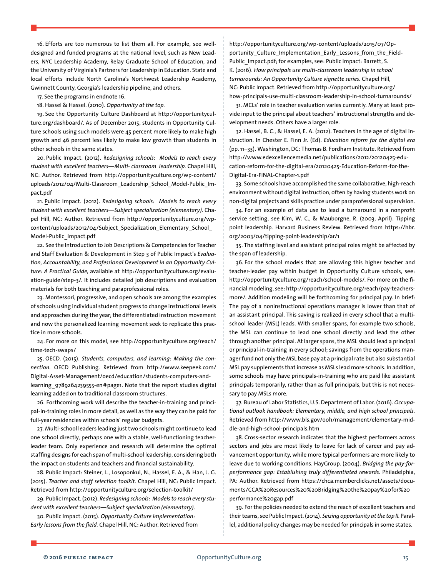16. Efforts are too numerous to list them all. For example, see welldesigned and funded programs at the national level, such as New Leaders, NYC Leadership Academy, Relay Graduate School of Education, and the University of Virginia's Partners for Leadership in Education. State and local efforts include North Carolina's Northwest Leadership Academy, Gwinnett County, Georgia's leadership pipeline, and others.

17. See the programs in endnote 16.

18. Hassel & Hassel. (2010). *Opportunity at the top.*

19. See the Opportunity Culture Dashboard at [http://opportunitycul](http://opportunityculture.org/dashboard/)[ture.org/dashboard/.](http://opportunityculture.org/dashboard/) As of December 2015, students in Opportunity Culture schools using such models were 45 percent more likely to make high growth and 46 percent less likely to make low growth than students in other schools in the same states.

20. Public Impact. (2012). R*edesigning schools: Models to reach every student with excellent teachers—Multi- classroom leadership.* Chapel Hill, NC: Author. Retrieved from [http://opportunityculture.org/wp-content/](http://opportunityculture.org/wp-content/uploads/2012/04/Multi-Classroom_Leadership_School_Model-Public_Impact.pdf) uploads/2012/04/Multi-Classroom Leadership School Model-Public Im[pact.pdf](http://opportunityculture.org/wp-content/uploads/2012/04/Multi-Classroom_Leadership_School_Model-Public_Impact.pdf)

21. Public Impact. (2012). *Redesigning schools: Models to reach every student with excellent teachers—Subject specialization (elementary)*. Chapel Hill, NC: Author. Retrieved from [http://opportunityculture.org/wp](http://opportunityculture.org/wp-content/uploads/2012/04/Subject_Specialization_Elementary_School_Model-Public_Impact.pdf)[content/uploads/2012/04/Subject\\_Specialization\\_Elementary\\_School\\_](http://opportunityculture.org/wp-content/uploads/2012/04/Subject_Specialization_Elementary_School_Model-Public_Impact.pdf) [Model-Public\\_Impact.pdf](http://opportunityculture.org/wp-content/uploads/2012/04/Subject_Specialization_Elementary_School_Model-Public_Impact.pdf)

22. See the Introduction to Job Descriptions & Competencies for Teacher and Staff Evaluation & Development in Step 3 of Public Impact's *Evaluation, Accountability, and Professional Development in an Opportunity Culture: A Practical Guide,* available at http://opportunityculture.org/evaluation-guide/step-3/. It includes detailed job descriptions and evaluation materials for both teaching and paraprofessional roles.

23. Montessori, progressive, and open schools are among the examples of schools using individual student progress to change instructional levels and approaches during the year; the differentiated instruction movement and now the personalized learning movement seek to replicate this practice in more schools.

24. For more on this model, see [http://opportunityculture.org/reach/](http://opportunityculture.org/reach/time-tech-swaps/) [time-tech-swaps/](http://opportunityculture.org/reach/time-tech-swaps/)

25. OECD. (2015). *Students, computers, and learning: Making the connection.* OECD Publishing. Retrieved from [http://www.keepeek.com/](http://www.keepeek.com/Digital-Asset-Management/oecd/education/students-computers-and-learning_9789264239555-en#page1) [Digital-Asset-Management/oecd/education/students-computers-and](http://www.keepeek.com/Digital-Asset-Management/oecd/education/students-computers-and-learning_9789264239555-en#page1)learning 9789264239555-en#page1. Note that the report studies digital learning added on to traditional classroom structures.

26. Forthcoming work will describe the teacher-in-training and principal-in-training roles in more detail, as well as the way they can be paid for full-year residencies within schools' regular budgets.

27. Multi-school leaders leading justtwo schools might continue to lead one school directly, perhaps one with a stable, well-functioning teacherleader team. Only experience and research will determine the optimal staffing designs for each span of multi-school leadership, considering both the impact on students and teachers and financial sustainability.

28. Public Impact: Steiner, L., Losoponkul, N., Hassel, E. A., & Han, J. G. (2015). *Teacher and staff selection toolkit.* Chapel Hill, NC: Public Impact. Retrieved from <http://opportunityculture.org/selection-toolkit/>

29. Public Impact. (2012). *Redesigning schools: Models to reach every student with excellent teachers—Subject specialization (elementary)*.

30. Public Impact. (2015). *Opportunity Culture implementation: Early lessons from the field.* Chapel Hill, NC: Author. Retrieved from [http://opportunityculture.org/wp-content/uploads/2015/07/Op](http://opportunityculture.org/wp-content/uploads/2015/07/Opportunity_Culture_Implementation_Early_Lessons_from_the_Field-Public_Impact.pdf)[portunity\\_Culture\\_Implementation\\_Early\\_Lessons\\_from\\_the\\_Field-](http://opportunityculture.org/wp-content/uploads/2015/07/Opportunity_Culture_Implementation_Early_Lessons_from_the_Field-Public_Impact.pdf)Public Impact.pdf; for examples, see: Public Impact: Barrett, S. K. (2016). *How principals use multi-classroom leadership in school turnarounds: An Opportunity Culture vignette series.* Chapel Hill, NC: Public Impact. Retrieved from [http://opportunityculture.org/](http://opportunityculture.org/how-principals-use-multi-classroom-leadership-in-school-turnarounds/) [how-principals-use-multi-classroom-leadership-in-school-turnarounds/](http://opportunityculture.org/how-principals-use-multi-classroom-leadership-in-school-turnarounds/)

31. MCLs' role in teacher evaluation varies currently. Many at least provide input to the principal about teachers' instructional strengths and development needs. Others have a larger role.

32. Hassel, B. C., & Hassel, E. A. (2012). Teachers in the age of digital instruction. In Chester E. Finn Jr. (Ed). *Education reform for the digital era*  (pp. 11–33). Washington, DC: Thomas B. Fordham Institute. Retrieved from [http://www.edexcellencemedia.net/publications/2012/20120425-edu](http://www.edexcellencemedia.net/publications/2012/20120425-education-reform-for-the-digital-era/20120425-Education-Reform-for-the-Digital-Era-FINAL-Chapter-1.pdf)[cation-reform-for-the-digital-era/20120425-Education-Reform-for-the-](http://www.edexcellencemedia.net/publications/2012/20120425-education-reform-for-the-digital-era/20120425-Education-Reform-for-the-Digital-Era-FINAL-Chapter-1.pdf)[Digital-Era-FINAL-Chapter-1.pdf](http://www.edexcellencemedia.net/publications/2012/20120425-education-reform-for-the-digital-era/20120425-Education-Reform-for-the-Digital-Era-FINAL-Chapter-1.pdf)

33. Some schools have accomplished the same collaborative, high-reach environment without digital instruction, often by having students work on non-digital projects and skills practice under paraprofessional supervision.

34. For an example of data use to lead a turnaround in a nonprofit service setting, see Kim, W. C., & Mauborgne, R. (2003, April). Tipping point leadership. Harvard Business Review. Retrieved from [https://hbr.](https://hbr.org/2003/04/tipping-point-leadership/ar/1) [org/2003/04/tipping-point-leadership/ar/1](https://hbr.org/2003/04/tipping-point-leadership/ar/1)

35. The staffing level and assistant principal roles might be affected by the span of leadership.

36. For the school models that are allowing this higher teacher and teacher-leader pay within budget in Opportunity Culture schools, see: [http://opportunityculture.org/reach/school-models/.](http://opportunityculture.org/reach/school-models/) For more on the financial modeling, see: [http://opportunityculture.org/reach/pay-teachers](http://opportunityculture.org/reach/pay-teachers-more/)[more/.](http://opportunityculture.org/reach/pay-teachers-more/) Addition modeling will be forthcoming for principal pay. In brief: The pay of a noninstructional operations manager is lower than that of an assistant principal. This saving is realized in every school that a multischool leader (MSL) leads. With smaller spans, for example two schools, the MSL can continue to lead one school directly and lead the other through another principal. At larger spans, the MSL should lead a principal or principal-in-training in every school; savings from the operations manager fund not only the MSL base pay at a principal rate but also substantial MSL pay supplements that increase as MSLs lead more schools. In addition, some schools may have principals-in-training who are paid like assistant principals temporarily, rather than as full principals, but this is not necessary to pay MSLs more.

37. Bureau of Labor Statistics, U.S. Department of Labor. (2016). *Occupational outlook handbook: Elementary, middle, and high school principals.*  Retrieved from [http://www.bls.gov/ooh/management/elementary-mid](http://www.bls.gov/ooh/management/elementary-middle-and-high-school-principals.htm)[dle-and-high-school-principals.htm](http://www.bls.gov/ooh/management/elementary-middle-and-high-school-principals.htm)

38. Cross-sector research indicates that the highest performers across sectors and jobs are most likely to leave for lack of career and pay advancement opportunity, while more typical performers are more likely to leave due to working conditions. HayGroup. (2004). *Bridging the pay-forperformance gap: Establishing truly differentiated rewards*. Philadelphia, PA: Author. Retrieved from [https://chca.memberclicks.net/assets/docu](https://chca.memberclicks.net/assets/documents/CCA%20Resources%20-%20Bridging%20the%20pay%20for%20performance%20gap.pdf)[ments/CCA%20Resources%20%20Bridging%20the%20pay%20for%20](https://chca.memberclicks.net/assets/documents/CCA%20Resources%20-%20Bridging%20the%20pay%20for%20performance%20gap.pdf) [performance%20gap.pdf](https://chca.memberclicks.net/assets/documents/CCA%20Resources%20-%20Bridging%20the%20pay%20for%20performance%20gap.pdf)

39. For the policies needed to extend the reach of excellent teachers and their teams, see Public Impact. (2014). Seizing opportunity at the top II. Parallel, additional policy changes may be needed for principals in some states.